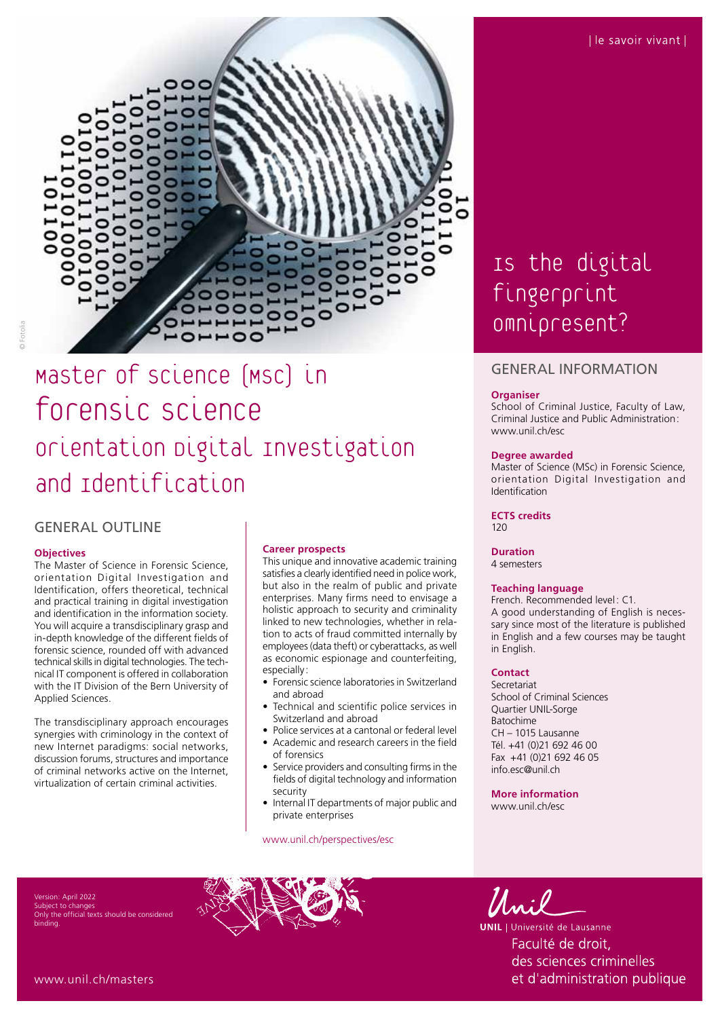

# © Fotolia

# Master of science (MSc) in forensic science orientation Digital Investigation and Identification

# GENERAL OUTLINE

#### **Objectives**

The Master of Science in Forensic Science, orientation Digital Investigation and Identification, offers theoretical, technical and practical training in digital investigation and identification in the information society. You will acquire a transdisciplinary grasp and in-depth knowledge of the different fields of forensic science, rounded off with advanced technical skills in digital technologies. The technical IT component is offered in collaboration with the IT Division of the Bern University of Applied Sciences.

The transdisciplinary approach encourages synergies with criminology in the context of new Internet paradigms: social networks, discussion forums, structures and importance of criminal networks active on the Internet, virtualization of certain criminal activities.

#### **Career prospects**

This unique and innovative academic training satisfies a clearly identified need in police work, but also in the realm of public and private enterprises. Many firms need to envisage a holistic approach to security and criminality linked to new technologies, whether in relation to acts of fraud committed internally by employees (data theft) or cyberattacks, as well as economic espionage and counterfeiting, especially :

- Forensic science laboratories in Switzerland and abroad
- Technical and scientific police services in Switzerland and abroad
- Police services at a cantonal or federal level
- Academic and research careers in the field of forensics
- Service providers and consulting firms in the fields of digital technology and information security
- Internal IT departments of major public and private enterprises

[www.unil.ch/perspectives/esc](http://www.unil.ch/perspectives/esc)

# Is the digital fingerprint omnipresent?

### GENERAL INFORMATION

#### **Organiser**

School of Criminal Justice, Faculty of Law, Criminal Justice and Public Administration : [www.unil.ch/esc](http://www.unil.ch/esc)

#### **Degree awarded**

Master of Science (MSc) in Forensic Science, orientation Digital Investigation and Identification

#### **ECTS credits**  $120$

**Duration** 4 semesters

#### **Teaching language**

French. Recommended level: C1. A good understanding of English is necessary since most of the literature is published in English and a few courses may be taught in English.

#### **Contact**

Secretariat School of Criminal Sciences Quartier UNIL-Sorge Batochime CH – 1015 Lausanne Tél. +41 (0)21 692 46 00 Fax +41 (0)21 692 46 05 [info.esc@unil.ch](mailto:info.esc@unil.ch)

**More information** [www.unil.ch/esc](http://www.unil.ch/esc)

ersion: April 2022 Subject to changes the official texts should be considered binding.





**UNIL** | Université de Lausanne Faculté de droit, des sciences criminelles et d'administration publique

[www.unil.ch/masters](http://www.unil.ch/masters)